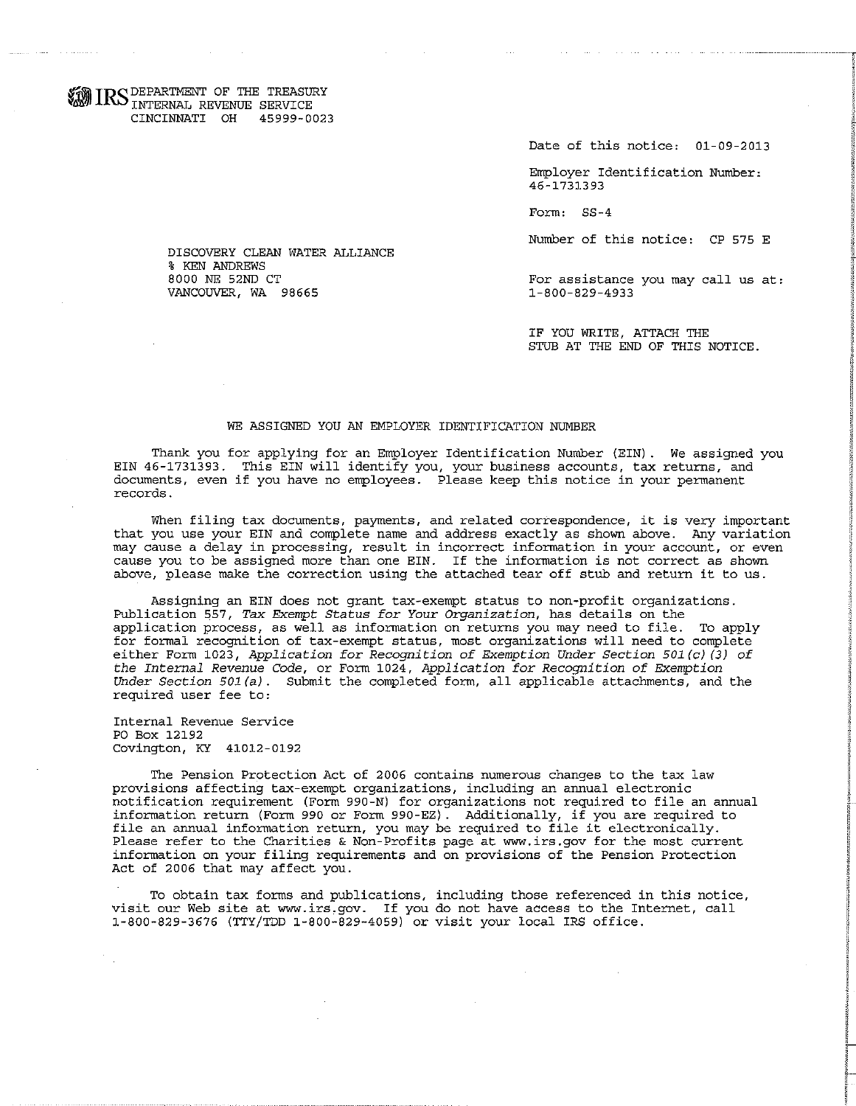WIRS DEPARTMENT OF THE TREASURY INTERNAL REVENUE SERVICE CINCINNATI OH 45999-0023

Date of this notice: 01-09-2013

Employer Identification Number: 46-1731393

Form: SS-4

Number of this notice: CP 575 E

For assistance you may call us at: 1-800-829-4933

IF YOU WRITE, ATTACH THE STUB AT THE END OF THIS NOTICE.

## WE ASSIGNED YOU AN EMPLOYER IDENTIFICATION NUMBER

Thank you for applying for an Employer Identification Number (EIN) . We assigned you EIN 46-1731393. This EIN will identify you, your business accounts, tax returns, and documents, even if you have no employees. Please keep this notice in your permanent records.

When filing tax documents, payments, and related correspondence, it is very important that you use your EIN and complete name and address exactly as shown above. Any variation may cause a delay in processing, result in incorrect information in your account, or even cause you to be assigned more than one EIN. If the information is not correct as shown above, please make the correction using the attached tear off stub and return it to us.

Assigning an EIN does not grant tax-exempt status to non-profit organizations. Publication 557, *Tax Exempt Status for Your Organization,* has details on the application process, as well as information on returns you may need to file. To apply for formal recognition of tax-exempt status, most organizations will need to complete either Form 1023, *Application for Recognition of EXemption Under Section 501(c) (3) of the Internal Revenue Code,* or Form 1024, *Application for* Recognition *of Exemption*  Under Section 501(a). Submit the completed form, all applicable attachments, and the required user fee to:

Internal Revenue Service PO Box 12192 Covington, KY 41012-0192

The Pension Protection Act of 2006 contains numerous changes to the tax law provisions affecting tax-exempt organizations, including an annual electronic notification requirement (Form 990-N) for organizations not required to file an annual information return (Form 990 or Form 990-EZ). Additionally, if you are required to file an annual information return, you may be required to file it electronically. Please refer to the Charities & Non-Profits page at www.irs.gov for the most current information on your filing requirements and on provisions of the Pension Protection Act of 2006 that may affect you.

To obtain tax forms and publications, including those referenced in this notice, visit our Web site at www.irs.gov. If you do not have access to the Internet, call 1-800-829-3676 (TTY/TDD 1-800-829-4059) or visit your local IRS office.

DISCOVERY CLEAN WATER ALLIANCE % KEN ANDREWS 8000 NE 52ND CT VANCOUVER, WA 98665